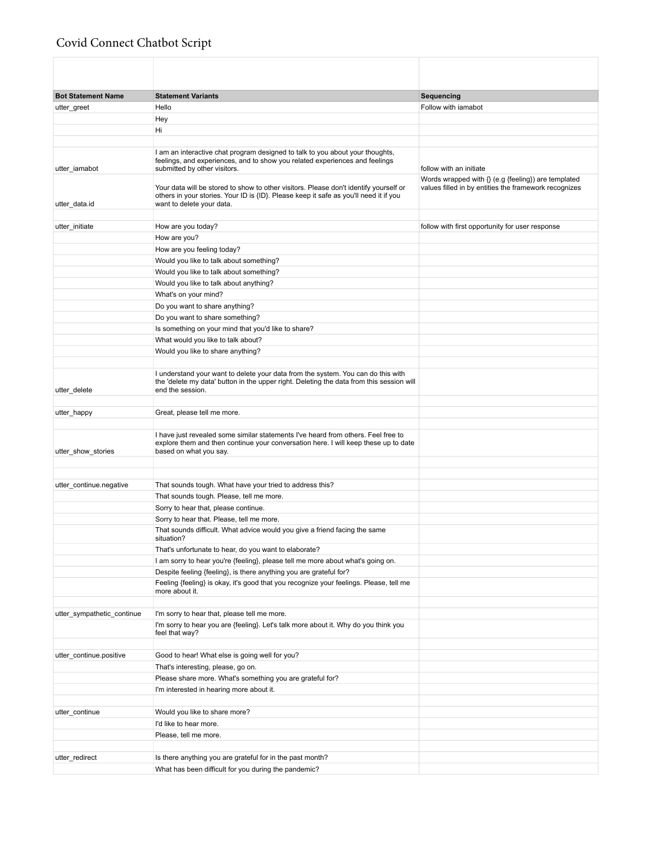## Covid Connect Chatbot Script

| <b>Bot Statement Name</b>  | <b>Statement Variants</b>                                                                                                                                                                                   | Sequencing                                               |
|----------------------------|-------------------------------------------------------------------------------------------------------------------------------------------------------------------------------------------------------------|----------------------------------------------------------|
| utter_greet                | Hello                                                                                                                                                                                                       | Follow with iamabot                                      |
|                            | Hey                                                                                                                                                                                                         |                                                          |
|                            | Hi                                                                                                                                                                                                          |                                                          |
|                            |                                                                                                                                                                                                             |                                                          |
| utter_iamabot              | I am an interactive chat program designed to talk to you about your thoughts,<br>feelings, and experiences, and to show you related experiences and feelings<br>submitted by other visitors.                | follow with an initiate                                  |
|                            |                                                                                                                                                                                                             | Words wrapped with $\{ \}$ (e.g {feeling}) are templated |
| utter_data.id              | Your data will be stored to show to other visitors. Please don't identify yourself or<br>others in your stories. Your ID is {ID}. Please keep it safe as you'll need it if you<br>want to delete your data. | values filled in by entities the framework recognizes    |
|                            |                                                                                                                                                                                                             |                                                          |
| utter_initiate             | How are you today?                                                                                                                                                                                          | follow with first opportunity for user response          |
|                            | How are you?                                                                                                                                                                                                |                                                          |
|                            | How are you feeling today?                                                                                                                                                                                  |                                                          |
|                            | Would you like to talk about something?                                                                                                                                                                     |                                                          |
|                            | Would you like to talk about something?                                                                                                                                                                     |                                                          |
|                            | Would you like to talk about anything?                                                                                                                                                                      |                                                          |
|                            | What's on your mind?                                                                                                                                                                                        |                                                          |
|                            | Do you want to share anything?                                                                                                                                                                              |                                                          |
|                            | Do you want to share something?                                                                                                                                                                             |                                                          |
|                            | Is something on your mind that you'd like to share?                                                                                                                                                         |                                                          |
|                            | What would you like to talk about?                                                                                                                                                                          |                                                          |
|                            | Would you like to share anything?                                                                                                                                                                           |                                                          |
|                            |                                                                                                                                                                                                             |                                                          |
| utter_delete               | I understand your want to delete your data from the system. You can do this with<br>the 'delete my data' button in the upper right. Deleting the data from this session will<br>end the session.            |                                                          |
|                            |                                                                                                                                                                                                             |                                                          |
| utter_happy                | Great, please tell me more.                                                                                                                                                                                 |                                                          |
|                            |                                                                                                                                                                                                             |                                                          |
| utter_show_stories         | I have just revealed some similar statements I've heard from others. Feel free to<br>explore them and then continue your conversation here. I will keep these up to date<br>based on what you say.          |                                                          |
|                            |                                                                                                                                                                                                             |                                                          |
|                            |                                                                                                                                                                                                             |                                                          |
| utter_continue.negative    | That sounds tough. What have your tried to address this?                                                                                                                                                    |                                                          |
|                            | That sounds tough. Please, tell me more.                                                                                                                                                                    |                                                          |
|                            | Sorry to hear that, please continue.                                                                                                                                                                        |                                                          |
|                            | Sorry to hear that. Please, tell me more.                                                                                                                                                                   |                                                          |
|                            | That sounds difficult. What advice would you give a friend facing the same                                                                                                                                  |                                                          |
|                            | situation?                                                                                                                                                                                                  |                                                          |
|                            | That's unfortunate to hear, do you want to elaborate?                                                                                                                                                       |                                                          |
|                            | I am sorry to hear you're {feeling}, please tell me more about what's going on.                                                                                                                             |                                                          |
|                            | Despite feeling {feeling}, is there anything you are grateful for?                                                                                                                                          |                                                          |
|                            | Feeling {feeling} is okay, it's good that you recognize your feelings. Please, tell me<br>more about it.                                                                                                    |                                                          |
|                            |                                                                                                                                                                                                             |                                                          |
| utter_sympathetic_continue | I'm sorry to hear that, please tell me more.                                                                                                                                                                |                                                          |
|                            | I'm sorry to hear you are {feeling}. Let's talk more about it. Why do you think you<br>feel that way?                                                                                                       |                                                          |
|                            |                                                                                                                                                                                                             |                                                          |
| utter_continue.positive    | Good to hear! What else is going well for you?                                                                                                                                                              |                                                          |
|                            | That's interesting, please, go on.                                                                                                                                                                          |                                                          |
|                            | Please share more. What's something you are grateful for?                                                                                                                                                   |                                                          |
|                            | I'm interested in hearing more about it.                                                                                                                                                                    |                                                          |
|                            |                                                                                                                                                                                                             |                                                          |
| utter_continue             | Would you like to share more?                                                                                                                                                                               |                                                          |
|                            | I'd like to hear more.                                                                                                                                                                                      |                                                          |
|                            | Please, tell me more.                                                                                                                                                                                       |                                                          |
|                            |                                                                                                                                                                                                             |                                                          |
| utter_redirect             | Is there anything you are grateful for in the past month?                                                                                                                                                   |                                                          |
|                            | What has been difficult for you during the pandemic?                                                                                                                                                        |                                                          |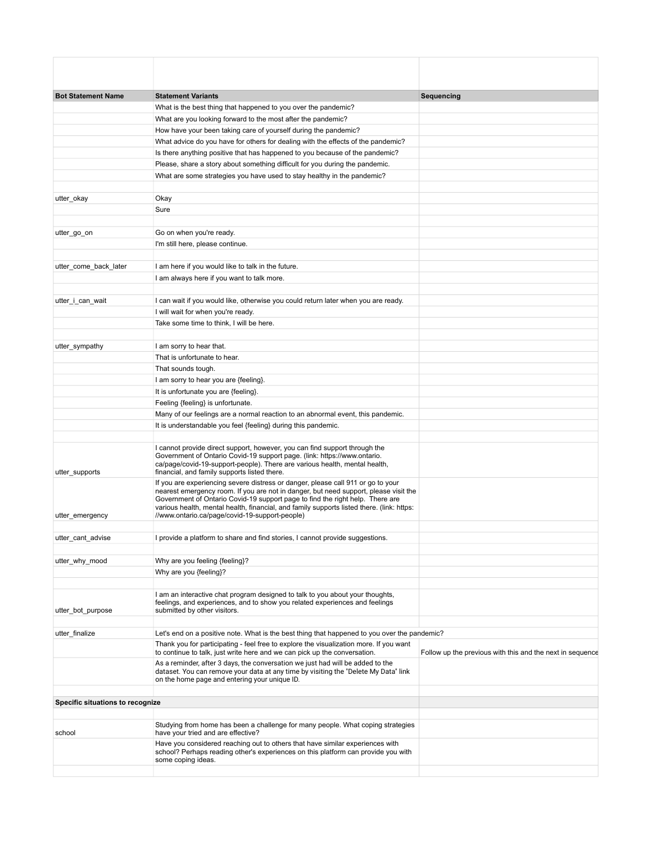| <b>Bot Statement Name</b>        | <b>Statement Variants</b>                                                                                                                                                                                                                                                                                                                              | Sequencing                                                |
|----------------------------------|--------------------------------------------------------------------------------------------------------------------------------------------------------------------------------------------------------------------------------------------------------------------------------------------------------------------------------------------------------|-----------------------------------------------------------|
|                                  | What is the best thing that happened to you over the pandemic?                                                                                                                                                                                                                                                                                         |                                                           |
|                                  | What are you looking forward to the most after the pandemic?                                                                                                                                                                                                                                                                                           |                                                           |
|                                  | How have your been taking care of yourself during the pandemic?                                                                                                                                                                                                                                                                                        |                                                           |
|                                  | What advice do you have for others for dealing with the effects of the pandemic?                                                                                                                                                                                                                                                                       |                                                           |
|                                  | Is there anything positive that has happened to you because of the pandemic?                                                                                                                                                                                                                                                                           |                                                           |
|                                  | Please, share a story about something difficult for you during the pandemic.                                                                                                                                                                                                                                                                           |                                                           |
|                                  | What are some strategies you have used to stay healthy in the pandemic?                                                                                                                                                                                                                                                                                |                                                           |
| utter_okay                       | Okay                                                                                                                                                                                                                                                                                                                                                   |                                                           |
|                                  | Sure                                                                                                                                                                                                                                                                                                                                                   |                                                           |
|                                  |                                                                                                                                                                                                                                                                                                                                                        |                                                           |
| utter_go_on                      | Go on when you're ready.<br>I'm still here, please continue.                                                                                                                                                                                                                                                                                           |                                                           |
|                                  |                                                                                                                                                                                                                                                                                                                                                        |                                                           |
| utter_come_back_later            | I am here if you would like to talk in the future.                                                                                                                                                                                                                                                                                                     |                                                           |
|                                  | I am always here if you want to talk more.                                                                                                                                                                                                                                                                                                             |                                                           |
| utter_i_can_wait                 | I can wait if you would like, otherwise you could return later when you are ready.                                                                                                                                                                                                                                                                     |                                                           |
|                                  | I will wait for when you're ready.                                                                                                                                                                                                                                                                                                                     |                                                           |
|                                  | Take some time to think, I will be here.                                                                                                                                                                                                                                                                                                               |                                                           |
| utter_sympathy                   | I am sorry to hear that.                                                                                                                                                                                                                                                                                                                               |                                                           |
|                                  | That is unfortunate to hear.                                                                                                                                                                                                                                                                                                                           |                                                           |
|                                  | That sounds tough.                                                                                                                                                                                                                                                                                                                                     |                                                           |
|                                  | I am sorry to hear you are {feeling}.                                                                                                                                                                                                                                                                                                                  |                                                           |
|                                  | It is unfortunate you are {feeling}.                                                                                                                                                                                                                                                                                                                   |                                                           |
|                                  | Feeling {feeling} is unfortunate.                                                                                                                                                                                                                                                                                                                      |                                                           |
|                                  | Many of our feelings are a normal reaction to an abnormal event, this pandemic.                                                                                                                                                                                                                                                                        |                                                           |
|                                  | It is understandable you feel {feeling} during this pandemic.                                                                                                                                                                                                                                                                                          |                                                           |
| utter supports                   | I cannot provide direct support, however, you can find support through the<br>Government of Ontario Covid-19 support page. (link: https://www.ontario.<br>ca/page/covid-19-support-people). There are various health, mental health,<br>financial, and family supports listed there.                                                                   |                                                           |
|                                  | If you are experiencing severe distress or danger, please call 911 or go to your<br>nearest emergency room. If you are not in danger, but need support, please visit the<br>Government of Ontario Covid-19 support page to find the right help. There are<br>various health, mental health, financial, and family supports listed there. (link: https: |                                                           |
| utter_emergency                  | //www.ontario.ca/page/covid-19-support-people)                                                                                                                                                                                                                                                                                                         |                                                           |
| utter_cant_advise                | I provide a platform to share and find stories, I cannot provide suggestions.                                                                                                                                                                                                                                                                          |                                                           |
| utter why mood                   | Why are you feeling {feeling}?                                                                                                                                                                                                                                                                                                                         |                                                           |
|                                  | Why are you {feeling}?                                                                                                                                                                                                                                                                                                                                 |                                                           |
|                                  |                                                                                                                                                                                                                                                                                                                                                        |                                                           |
| utter bot purpose                | I am an interactive chat program designed to talk to you about your thoughts,<br>feelings, and experiences, and to show you related experiences and feelings<br>submitted by other visitors.                                                                                                                                                           |                                                           |
| utter_finalize                   | Let's end on a positive note. What is the best thing that happened to you over the pandemic?                                                                                                                                                                                                                                                           |                                                           |
|                                  | Thank you for participating - feel free to explore the visualization more. If you want<br>to continue to talk, just write here and we can pick up the conversation.                                                                                                                                                                                    | Follow up the previous with this and the next in sequence |
|                                  | As a reminder, after 3 days, the conversation we just had will be added to the<br>dataset. You can remove your data at any time by visiting the "Delete My Data" link<br>on the home page and entering your unique ID.                                                                                                                                 |                                                           |
| Specific situations to recognize |                                                                                                                                                                                                                                                                                                                                                        |                                                           |
|                                  |                                                                                                                                                                                                                                                                                                                                                        |                                                           |
| school                           | Studying from home has been a challenge for many people. What coping strategies<br>have your tried and are effective?                                                                                                                                                                                                                                  |                                                           |
|                                  | Have you considered reaching out to others that have similar experiences with<br>school? Perhaps reading other's experiences on this platform can provide you with<br>some coping ideas.                                                                                                                                                               |                                                           |
|                                  |                                                                                                                                                                                                                                                                                                                                                        |                                                           |